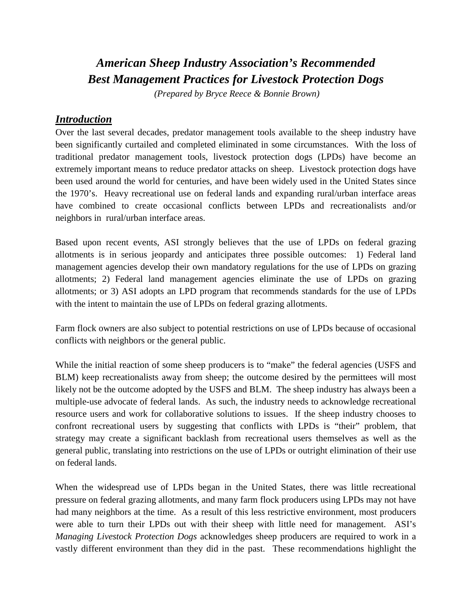# *American Sheep Industry Association's Recommended Best Management Practices for Livestock Protection Dogs*

*(Prepared by Bryce Reece & Bonnie Brown)*

#### *Introduction*

Over the last several decades, predator management tools available to the sheep industry have been significantly curtailed and completed eliminated in some circumstances. With the loss of traditional predator management tools, livestock protection dogs (LPDs) have become an extremely important means to reduce predator attacks on sheep. Livestock protection dogs have been used around the world for centuries, and have been widely used in the United States since the 1970's. Heavy recreational use on federal lands and expanding rural/urban interface areas have combined to create occasional conflicts between LPDs and recreationalists and/or neighbors in rural/urban interface areas.

Based upon recent events, ASI strongly believes that the use of LPDs on federal grazing allotments is in serious jeopardy and anticipates three possible outcomes: 1) Federal land management agencies develop their own mandatory regulations for the use of LPDs on grazing allotments; 2) Federal land management agencies eliminate the use of LPDs on grazing allotments; or 3) ASI adopts an LPD program that recommends standards for the use of LPDs with the intent to maintain the use of LPDs on federal grazing allotments.

Farm flock owners are also subject to potential restrictions on use of LPDs because of occasional conflicts with neighbors or the general public.

While the initial reaction of some sheep producers is to "make" the federal agencies (USFS and BLM) keep recreationalists away from sheep; the outcome desired by the permittees will most likely not be the outcome adopted by the USFS and BLM. The sheep industry has always been a multiple-use advocate of federal lands. As such, the industry needs to acknowledge recreational resource users and work for collaborative solutions to issues. If the sheep industry chooses to confront recreational users by suggesting that conflicts with LPDs is "their" problem, that strategy may create a significant backlash from recreational users themselves as well as the general public, translating into restrictions on the use of LPDs or outright elimination of their use on federal lands.

When the widespread use of LPDs began in the United States, there was little recreational pressure on federal grazing allotments, and many farm flock producers using LPDs may not have had many neighbors at the time. As a result of this less restrictive environment, most producers were able to turn their LPDs out with their sheep with little need for management. ASI's *Managing Livestock Protection Dogs* acknowledges sheep producers are required to work in a vastly different environment than they did in the past. These recommendations highlight the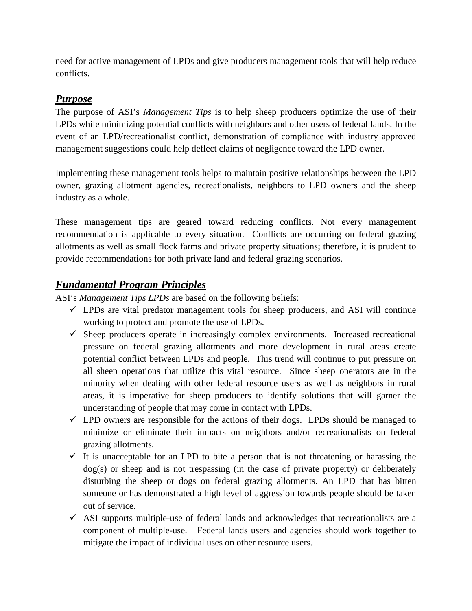need for active management of LPDs and give producers management tools that will help reduce conflicts.

# *Purpose*

The purpose of ASI's *Management Tips* is to help sheep producers optimize the use of their LPDs while minimizing potential conflicts with neighbors and other users of federal lands. In the event of an LPD/recreationalist conflict, demonstration of compliance with industry approved management suggestions could help deflect claims of negligence toward the LPD owner.

Implementing these management tools helps to maintain positive relationships between the LPD owner, grazing allotment agencies, recreationalists, neighbors to LPD owners and the sheep industry as a whole.

These management tips are geared toward reducing conflicts. Not every management recommendation is applicable to every situation. Conflicts are occurring on federal grazing allotments as well as small flock farms and private property situations; therefore, it is prudent to provide recommendations for both private land and federal grazing scenarios.

## *Fundamental Program Principles*

ASI's *Management Tips LPDs* are based on the following beliefs:

- $\checkmark$  LPDs are vital predator management tools for sheep producers, and ASI will continue working to protect and promote the use of LPDs.
- $\checkmark$  Sheep producers operate in increasingly complex environments. Increased recreational pressure on federal grazing allotments and more development in rural areas create potential conflict between LPDs and people. This trend will continue to put pressure on all sheep operations that utilize this vital resource. Since sheep operators are in the minority when dealing with other federal resource users as well as neighbors in rural areas, it is imperative for sheep producers to identify solutions that will garner the understanding of people that may come in contact with LPDs.
- $\checkmark$  LPD owners are responsible for the actions of their dogs. LPDs should be managed to minimize or eliminate their impacts on neighbors and/or recreationalists on federal grazing allotments.
- $\checkmark$  It is unacceptable for an LPD to bite a person that is not threatening or harassing the dog(s) or sheep and is not trespassing (in the case of private property) or deliberately disturbing the sheep or dogs on federal grazing allotments. An LPD that has bitten someone or has demonstrated a high level of aggression towards people should be taken out of service.
- $\checkmark$  ASI supports multiple-use of federal lands and acknowledges that recreationalists are a component of multiple-use. Federal lands users and agencies should work together to mitigate the impact of individual uses on other resource users.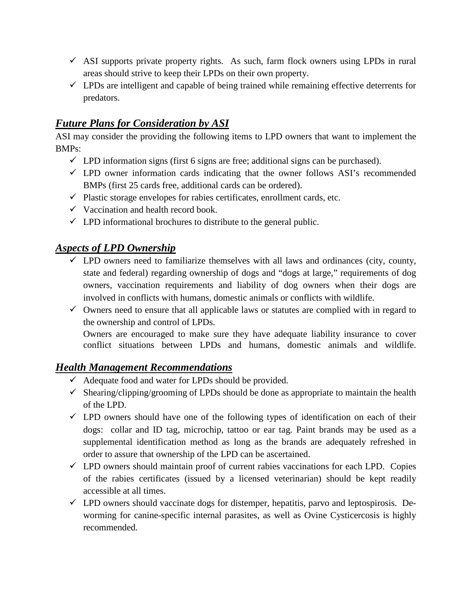- $\checkmark$  ASI supports private property rights. As such, farm flock owners using LPDs in rural areas should strive to keep their LPDs on their own property.
- $\checkmark$  LPDs are intelligent and capable of being trained while remaining effective deterrents for predators.

## *Future Plans for Consideration by ASI*

ASI may consider the providing the following items to LPD owners that want to implement the BMPs:

- $\checkmark$  LPD information signs (first 6 signs are free; additional signs can be purchased).
- $\checkmark$  LPD owner information cards indicating that the owner follows ASI's recommended BMPs (first 25 cards free, additional cards can be ordered).
- $\checkmark$  Plastic storage envelopes for rabies certificates, enrollment cards, etc.
- $\checkmark$  Vaccination and health record book.
- $\checkmark$  LPD informational brochures to distribute to the general public.

#### *Aspects of LPD Ownership*

- $\checkmark$  LPD owners need to familiarize themselves with all laws and ordinances (city, county, state and federal) regarding ownership of dogs and "dogs at large," requirements of dog owners, vaccination requirements and liability of dog owners when their dogs are involved in conflicts with humans, domestic animals or conflicts with wildlife.
- $\checkmark$  Owners need to ensure that all applicable laws or statutes are complied with in regard to the ownership and control of LPDs.

Owners are encouraged to make sure they have adequate liability insurance to cover conflict situations between LPDs and humans, domestic animals and wildlife.

#### *Health Management Recommendations*

- $\checkmark$  Adequate food and water for LPDs should be provided.
- $\checkmark$  Shearing/clipping/grooming of LPDs should be done as appropriate to maintain the health of the LPD.
- $\checkmark$  LPD owners should have one of the following types of identification on each of their dogs: collar and ID tag, microchip, tattoo or ear tag. Paint brands may be used as a supplemental identification method as long as the brands are adequately refreshed in order to assure that ownership of the LPD can be ascertained.
- $\checkmark$  LPD owners should maintain proof of current rabies vaccinations for each LPD. Copies of the rabies certificates (issued by a licensed veterinarian) should be kept readily accessible at all times.
- $\checkmark$  LPD owners should vaccinate dogs for distemper, hepatitis, parvo and leptospirosis. Deworming for canine-specific internal parasites, as well as Ovine Cysticercosis is highly recommended.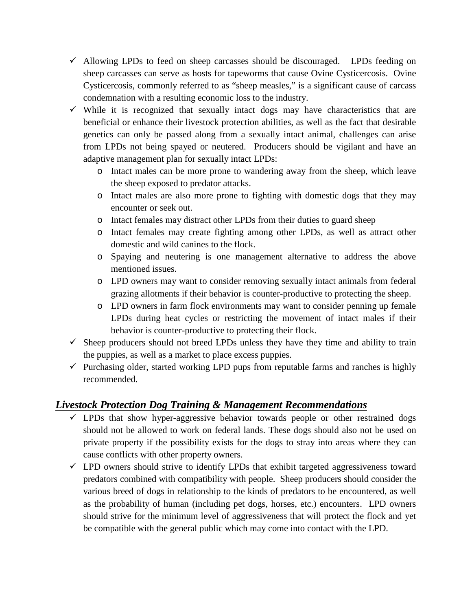- $\checkmark$  Allowing LPDs to feed on sheep carcasses should be discouraged. LPDs feeding on sheep carcasses can serve as hosts for tapeworms that cause Ovine Cysticercosis. Ovine Cysticercosis, commonly referred to as "sheep measles," is a significant cause of carcass condemnation with a resulting economic loss to the industry.
- $\checkmark$  While it is recognized that sexually intact dogs may have characteristics that are beneficial or enhance their livestock protection abilities, as well as the fact that desirable genetics can only be passed along from a sexually intact animal, challenges can arise from LPDs not being spayed or neutered. Producers should be vigilant and have an adaptive management plan for sexually intact LPDs:
	- o Intact males can be more prone to wandering away from the sheep, which leave the sheep exposed to predator attacks.
	- o Intact males are also more prone to fighting with domestic dogs that they may encounter or seek out.
	- o Intact females may distract other LPDs from their duties to guard sheep
	- o Intact females may create fighting among other LPDs, as well as attract other domestic and wild canines to the flock.
	- o Spaying and neutering is one management alternative to address the above mentioned issues.
	- o LPD owners may want to consider removing sexually intact animals from federal grazing allotments if their behavior is counter-productive to protecting the sheep.
	- o LPD owners in farm flock environments may want to consider penning up female LPDs during heat cycles or restricting the movement of intact males if their behavior is counter-productive to protecting their flock.
- $\checkmark$  Sheep producers should not breed LPDs unless they have they time and ability to train the puppies, as well as a market to place excess puppies.
- $\checkmark$  Purchasing older, started working LPD pups from reputable farms and ranches is highly recommended.

## *Livestock Protection Dog Training & Management Recommendations*

- $\checkmark$  LPDs that show hyper-aggressive behavior towards people or other restrained dogs should not be allowed to work on federal lands. These dogs should also not be used on private property if the possibility exists for the dogs to stray into areas where they can cause conflicts with other property owners.
- $\checkmark$  LPD owners should strive to identify LPDs that exhibit targeted aggressiveness toward predators combined with compatibility with people. Sheep producers should consider the various breed of dogs in relationship to the kinds of predators to be encountered, as well as the probability of human (including pet dogs, horses, etc.) encounters. LPD owners should strive for the minimum level of aggressiveness that will protect the flock and yet be compatible with the general public which may come into contact with the LPD.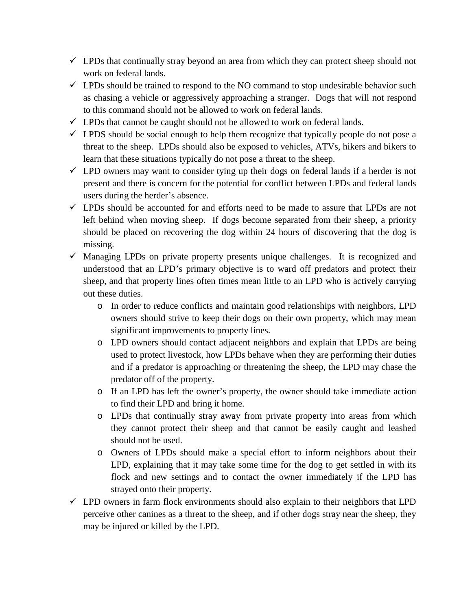- $\checkmark$  LPDs that continually stray beyond an area from which they can protect sheep should not work on federal lands.
- $\checkmark$  LPDs should be trained to respond to the NO command to stop undesirable behavior such as chasing a vehicle or aggressively approaching a stranger. Dogs that will not respond to this command should not be allowed to work on federal lands.
- $\checkmark$  LPDs that cannot be caught should not be allowed to work on federal lands.
- $\checkmark$  LPDS should be social enough to help them recognize that typically people do not pose a threat to the sheep. LPDs should also be exposed to vehicles, ATVs, hikers and bikers to learn that these situations typically do not pose a threat to the sheep.
- $\checkmark$  LPD owners may want to consider tying up their dogs on federal lands if a herder is not present and there is concern for the potential for conflict between LPDs and federal lands users during the herder's absence.
- $\checkmark$  LPDs should be accounted for and efforts need to be made to assure that LPDs are not left behind when moving sheep. If dogs become separated from their sheep, a priority should be placed on recovering the dog within 24 hours of discovering that the dog is missing.
- $\checkmark$  Managing LPDs on private property presents unique challenges. It is recognized and understood that an LPD's primary objective is to ward off predators and protect their sheep, and that property lines often times mean little to an LPD who is actively carrying out these duties.
	- o In order to reduce conflicts and maintain good relationships with neighbors, LPD owners should strive to keep their dogs on their own property, which may mean significant improvements to property lines.
	- o LPD owners should contact adjacent neighbors and explain that LPDs are being used to protect livestock, how LPDs behave when they are performing their duties and if a predator is approaching or threatening the sheep, the LPD may chase the predator off of the property.
	- o If an LPD has left the owner's property, the owner should take immediate action to find their LPD and bring it home.
	- o LPDs that continually stray away from private property into areas from which they cannot protect their sheep and that cannot be easily caught and leashed should not be used.
	- o Owners of LPDs should make a special effort to inform neighbors about their LPD, explaining that it may take some time for the dog to get settled in with its flock and new settings and to contact the owner immediately if the LPD has strayed onto their property.
- $\checkmark$  LPD owners in farm flock environments should also explain to their neighbors that LPD perceive other canines as a threat to the sheep, and if other dogs stray near the sheep, they may be injured or killed by the LPD.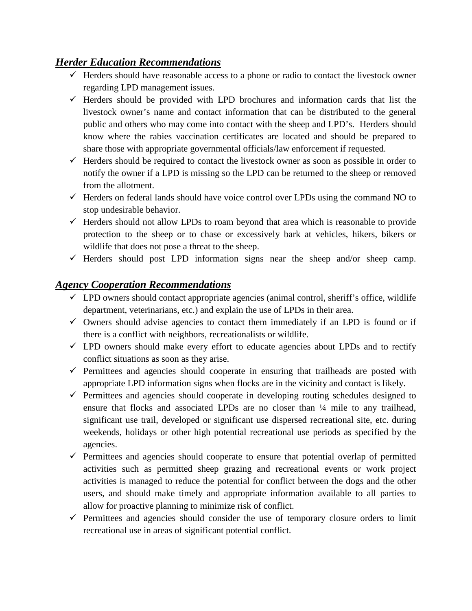### *Herder Education Recommendations*

- $\checkmark$  Herders should have reasonable access to a phone or radio to contact the livestock owner regarding LPD management issues.
- $\checkmark$  Herders should be provided with LPD brochures and information cards that list the livestock owner's name and contact information that can be distributed to the general public and others who may come into contact with the sheep and LPD's. Herders should know where the rabies vaccination certificates are located and should be prepared to share those with appropriate governmental officials/law enforcement if requested.
- $\checkmark$  Herders should be required to contact the livestock owner as soon as possible in order to notify the owner if a LPD is missing so the LPD can be returned to the sheep or removed from the allotment.
- $\checkmark$  Herders on federal lands should have voice control over LPDs using the command NO to stop undesirable behavior.
- $\checkmark$  Herders should not allow LPDs to roam beyond that area which is reasonable to provide protection to the sheep or to chase or excessively bark at vehicles, hikers, bikers or wildlife that does not pose a threat to the sheep.
- $\checkmark$  Herders should post LPD information signs near the sheep and/or sheep camp.

## *Agency Cooperation Recommendations*

- $\checkmark$  LPD owners should contact appropriate agencies (animal control, sheriff's office, wildlife department, veterinarians, etc.) and explain the use of LPDs in their area.
- $\checkmark$  Owners should advise agencies to contact them immediately if an LPD is found or if there is a conflict with neighbors, recreationalists or wildlife.
- $\checkmark$  LPD owners should make every effort to educate agencies about LPDs and to rectify conflict situations as soon as they arise.
- $\checkmark$  Permittees and agencies should cooperate in ensuring that trailheads are posted with appropriate LPD information signs when flocks are in the vicinity and contact is likely.
- $\checkmark$  Permittees and agencies should cooperate in developing routing schedules designed to ensure that flocks and associated LPDs are no closer than  $\frac{1}{4}$  mile to any trailhead, significant use trail, developed or significant use dispersed recreational site, etc. during weekends, holidays or other high potential recreational use periods as specified by the agencies.
- $\checkmark$  Permittees and agencies should cooperate to ensure that potential overlap of permitted activities such as permitted sheep grazing and recreational events or work project activities is managed to reduce the potential for conflict between the dogs and the other users, and should make timely and appropriate information available to all parties to allow for proactive planning to minimize risk of conflict.
- $\checkmark$  Permittees and agencies should consider the use of temporary closure orders to limit recreational use in areas of significant potential conflict.